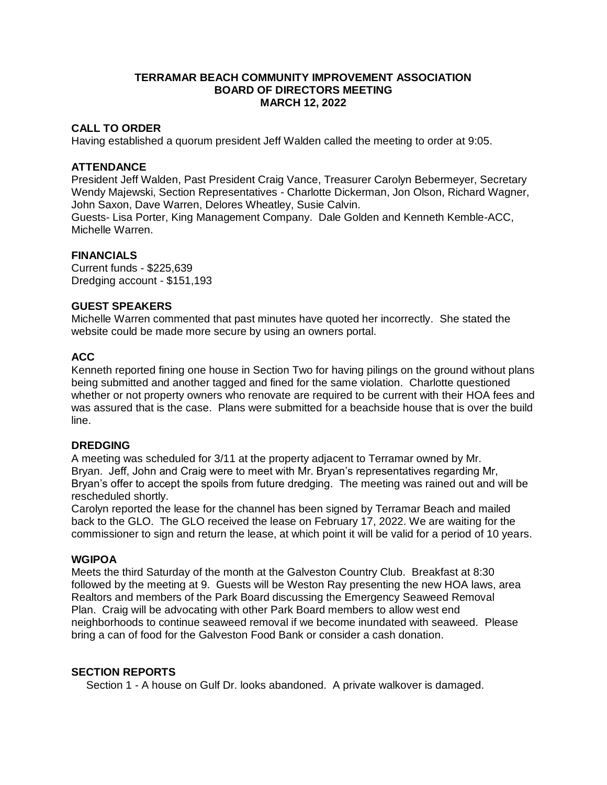## **TERRAMAR BEACH COMMUNITY IMPROVEMENT ASSOCIATION BOARD OF DIRECTORS MEETING MARCH 12, 2022**

# **CALL TO ORDER**

Having established a quorum president Jeff Walden called the meeting to order at 9:05.

### **ATTENDANCE**

President Jeff Walden, Past President Craig Vance, Treasurer Carolyn Bebermeyer, Secretary Wendy Majewski, Section Representatives - Charlotte Dickerman, Jon Olson, Richard Wagner, John Saxon, Dave Warren, Delores Wheatley, Susie Calvin.

Guests- Lisa Porter, King Management Company. Dale Golden and Kenneth Kemble-ACC, Michelle Warren.

#### **FINANCIALS**

Current funds - \$225,639 Dredging account - \$151,193

#### **GUEST SPEAKERS**

Michelle Warren commented that past minutes have quoted her incorrectly. She stated the website could be made more secure by using an owners portal.

# **ACC**

Kenneth reported fining one house in Section Two for having pilings on the ground without plans being submitted and another tagged and fined for the same violation. Charlotte questioned whether or not property owners who renovate are required to be current with their HOA fees and was assured that is the case. Plans were submitted for a beachside house that is over the build line.

### **DREDGING**

A meeting was scheduled for 3/11 at the property adjacent to Terramar owned by Mr. Bryan. Jeff, John and Craig were to meet with Mr. Bryan's representatives regarding Mr, Bryan's offer to accept the spoils from future dredging. The meeting was rained out and will be rescheduled shortly.

Carolyn reported the lease for the channel has been signed by Terramar Beach and mailed back to the GLO. The GLO received the lease on February 17, 2022. We are waiting for the commissioner to sign and return the lease, at which point it will be valid for a period of 10 years.

#### **WGIPOA**

Meets the third Saturday of the month at the Galveston Country Club. Breakfast at 8:30 followed by the meeting at 9. Guests will be Weston Ray presenting the new HOA laws, area Realtors and members of the Park Board discussing the Emergency Seaweed Removal Plan. Craig will be advocating with other Park Board members to allow west end neighborhoods to continue seaweed removal if we become inundated with seaweed. Please bring a can of food for the Galveston Food Bank or consider a cash donation.

### **SECTION REPORTS**

Section 1 - A house on Gulf Dr. looks abandoned. A private walkover is damaged.